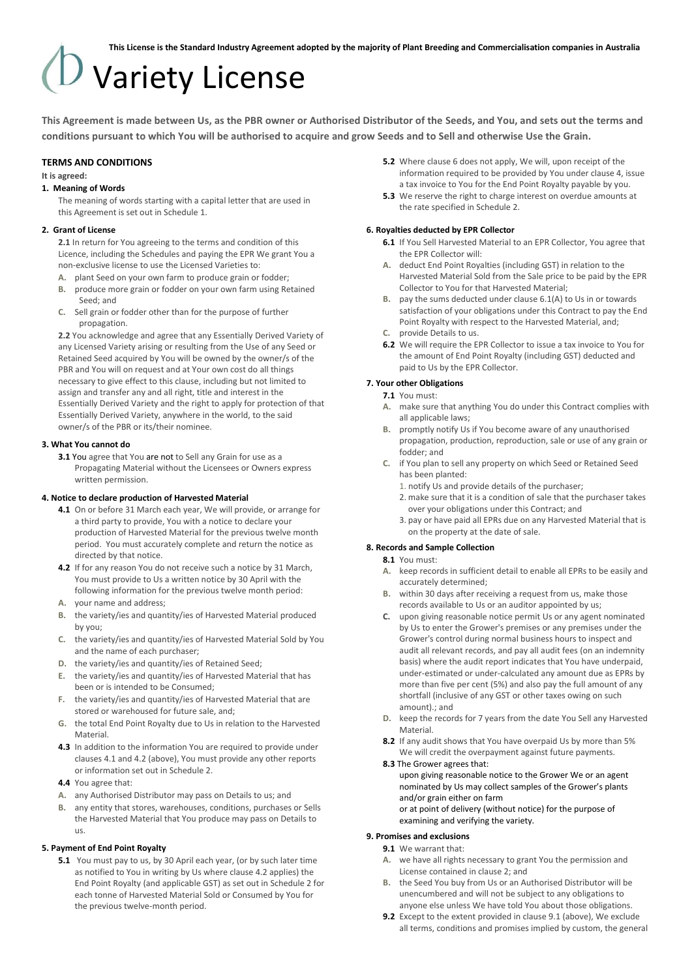# Variety License

**This Agreement is made between Us, as the PBR owner or Authorised Distributor of the Seeds, and You, and sets out the terms and conditions pursuant to which You will be authorised to acquire and grow Seeds and to Sell and otherwise Use the Grain.**

#### **TERMS AND CONDITIONS**

#### **It is agreed:**

#### **1. Meaning of Words**

The meaning of words starting with a capital letter that are used in this Agreement is set out in Schedule 1.

#### **2. Grant of License**

**2.1** In return for You agreeing to the terms and condition of this Licence, including the Schedules and paying the EPR We grant You a non-exclusive license to use the Licensed Varieties to:

- **A.** plant Seed on your own farm to produce grain or fodder;
- **B.** produce more grain or fodder on your own farm using Retained Seed; and
- **C.** Sell grain or fodder other than for the purpose of further propagation.

**2.2** You acknowledge and agree that any Essentially Derived Variety of any Licensed Variety arising or resulting from the Use of any Seed or Retained Seed acquired by You will be owned by the owner/s of the PBR and You will on request and at Your own cost do all things necessary to give effect to this clause, including but not limited to assign and transfer any and all right, title and interest in the Essentially Derived Variety and the right to apply for protection of that Essentially Derived Variety, anywhere in the world, to the said owner/s of the PBR or its/their nominee.

#### **3. What You cannot do**

**3.1** You agree that You are not to Sell any Grain for use as a Propagating Material without the Licensees or Owners express written permission.

#### **4. Notice to declare production of Harvested Material**

- **4.1** On or before 31 March each year, We will provide, or arrange for a third party to provide, You with a notice to declare your production of Harvested Material for the previous twelve month period. You must accurately complete and return the notice as directed by that notice.
- **4.2** If for any reason You do not receive such a notice by 31 March, You must provide to Us a written notice by 30 April with the following information for the previous twelve month period:
- **A.** your name and address;
- **B.** the variety/ies and quantity/ies of Harvested Material produced by you;
- **C.** the variety/ies and quantity/ies of Harvested Material Sold by You and the name of each purchaser;
- **D.** the variety/ies and quantity/ies of Retained Seed;
- **E.** the variety/ies and quantity/ies of Harvested Material that has been or is intended to be Consumed;
- **F.** the variety/ies and quantity/ies of Harvested Material that are stored or warehoused for future sale, and;
- **G.** the total End Point Royalty due to Us in relation to the Harvested **Material**
- **4.3** In addition to the information You are required to provide under clauses 4.1 and 4.2 (above), You must provide any other reports or information set out in Schedule 2.
- **4.4** You agree that:
- **A.** any Authorised Distributor may pass on Details to us; and
- **B.** any entity that stores, warehouses, conditions, purchases or Sells the Harvested Material that You produce may pass on Details to us.

# **5. Payment of End Point Royalty**

**5.1** You must pay to us, by 30 April each year, (or by such later time as notified to You in writing by Us where clause 4.2 applies) the End Point Royalty (and applicable GST) as set out in Schedule 2 for each tonne of Harvested Material Sold or Consumed by You for the previous twelve-month period.

- **5.2** Where clause 6 does not apply, We will, upon receipt of the information required to be provided by You under clause 4, issue a tax invoice to You for the End Point Royalty payable by you.
- **5.3** We reserve the right to charge interest on overdue amounts at the rate specified in Schedule 2.

#### **6. Royalties deducted by EPR Collector**

- **6.1** If You Sell Harvested Material to an EPR Collector, You agree that the EPR Collector will:
- **A.** deduct End Point Royalties (including GST) in relation to the Harvested Material Sold from the Sale price to be paid by the EPR Collector to You for that Harvested Material;
- **B.** pay the sums deducted under clause 6.1(A) to Us in or towards satisfaction of your obligations under this Contract to pay the End Point Royalty with respect to the Harvested Material, and;
- **C.** provide Details to us.
- **6.2** We will require the EPR Collector to issue a tax invoice to You for the amount of End Point Royalty (including GST) deducted and paid to Us by the EPR Collector.

#### **7. Your other Obligations**

#### **7.1** You must:

- **A.** make sure that anything You do under this Contract complies with all applicable laws;
- **B.** promptly notify Us if You become aware of any unauthorised propagation, production, reproduction, sale or use of any grain or fodder; and
- **C.** if You plan to sell any property on which Seed or Retained Seed has been planted:
	- 1. notify Us and provide details of the purchaser;
	- 2. make sure that it is a condition of sale that the purchaser takes over your obligations under this Contract; and
	- 3. pay or have paid all EPRs due on any Harvested Material that is on the property at the date of sale.

#### **8. Records and Sample Collection**

#### **8.1** You must:

- **A.** keep records in sufficient detail to enable all EPRs to be easily and accurately determined;
- **B.** within 30 days after receiving a request from us, make those records available to Us or an auditor appointed by us;
- **C.** upon giving reasonable notice permit Us or any agent nominated by Us to enter the Grower's premises or any premises under the Grower's control during normal business hours to inspect and audit all relevant records, and pay all audit fees (on an indemnity basis) where the audit report indicates that You have underpaid, under-estimated or under-calculated any amount due as EPRs by more than five per cent (5%) and also pay the full amount of any shortfall (inclusive of any GST or other taxes owing on such amount).; and
- **D.** keep the records for 7 years from the date You Sell any Harvested **Material**
- **8.2** If any audit shows that You have overpaid Us by more than 5% We will credit the overpayment against future payments.

#### **8.3** The Grower agrees that:

upon giving reasonable notice to the Grower We or an agent nominated by Us may collect samples of the Grower's plants and/or grain either on farm

or at point of delivery (without notice) for the purpose of examining and verifying the variety.

### **9. Promises and exclusions**

- **9.1** We warrant that:
- **A.** we have all rights necessary to grant You the permission and License contained in clause 2; and
- **B.** the Seed You buy from Us or an Authorised Distributor will be unencumbered and will not be subject to any obligations to anyone else unless We have told You about those obligations.
- **9.2** Except to the extent provided in clause 9.1 (above), We exclude all terms, conditions and promises implied by custom, the general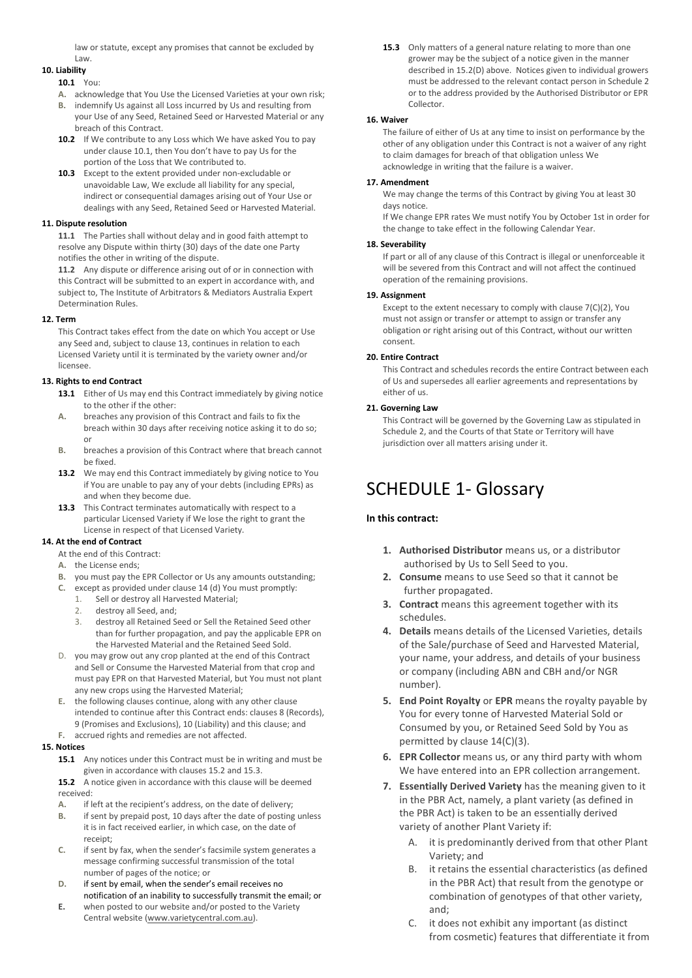law or statute, except any promises that cannot be excluded by Law.

#### **10. Liability**

#### **10.1** You:

- **A.** acknowledge that You Use the Licensed Varieties at your own risk;
- **B.** indemnify Us against all Loss incurred by Us and resulting from your Use of any Seed, Retained Seed or Harvested Material or any breach of this Contract.
- **10.2** If We contribute to any Loss which We have asked You to pay under clause 10.1, then You don't have to pay Us for the portion of the Loss that We contributed to.
- **10.3** Except to the extent provided under non-excludable or unavoidable Law, We exclude all liability for any special, indirect or consequential damages arising out of Your Use or dealings with any Seed, Retained Seed or Harvested Material.

#### **11. Dispute resolution**

**11.1** The Parties shall without delay and in good faith attempt to resolve any Dispute within thirty (30) days of the date one Party notifies the other in writing of the dispute.

**11.2** Any dispute or difference arising out of or in connection with this Contract will be submitted to an expert in accordance with, and subject to, The Institute of Arbitrators & Mediators Australia Expert Determination Rules.

#### **12. Term**

This Contract takes effect from the date on which You accept or Use any Seed and, subject to clause 13, continues in relation to each Licensed Variety until it is terminated by the variety owner and/or licensee.

#### **13. Rights to end Contract**

- 13.1 Either of Us may end this Contract immediately by giving notice to the other if the other:
- **A.** breaches any provision of this Contract and fails to fix the breach within 30 days after receiving notice asking it to do so; or
- **B.** breaches a provision of this Contract where that breach cannot be fixed.
- **13.2** We may end this Contract immediately by giving notice to You if You are unable to pay any of your debts (including EPRs) as and when they become due.
- **13.3** This Contract terminates automatically with respect to a particular Licensed Variety if We lose the right to grant the License in respect of that Licensed Variety.

### **14. At the end of Contract**

At the end of this Contract:

- **A.** the License ends;
- **B.** you must pay the EPR Collector or Us any amounts outstanding;
- **C.** except as provided under clause 14 (d) You must promptly:
	- 1. Sell or destroy all Harvested Material;<br>2. destroy all Seed, and;
	- destroy all Seed, and;
	- destroy all Retained Seed or Sell the Retained Seed other than for further propagation, and pay the applicable EPR on the Harvested Material and the Retained Seed Sold.
- D. you may grow out any crop planted at the end of this Contract and Sell or Consume the Harvested Material from that crop and must pay EPR on that Harvested Material, but You must not plant any new crops using the Harvested Material;
- **E.** the following clauses continue, along with any other clause intended to continue after this Contract ends: clauses 8 (Records), 9 (Promises and Exclusions), 10 (Liability) and this clause; and **F.** accrued rights and remedies are not affected.

#### **15. Notices**

- **15.1** Any notices under this Contract must be in writing and must be given in accordance with clauses 15.2 and 15.3.
- **15.2** A notice given in accordance with this clause will be deemed received:
- **A.** if left at the recipient's address, on the date of delivery;
- **B.** if sent by prepaid post, 10 days after the date of posting unless it is in fact received earlier, in which case, on the date of receipt;
- **C.** if sent by fax, when the sender's facsimile system generates a message confirming successful transmission of the total number of pages of the notice; or
- **D.** if sent by email, when the sender's email receives no notification of an inability to successfully transmit the email; or
- **E.** when posted to our website and/or posted to the Variety Central website [\(www.varietycentral.com.au\)](http://www.varietycentral.com.au/).

**15.3** Only matters of a general nature relating to more than one grower may be the subject of a notice given in the manner described in 15.2(D) above. Notices given to individual growers must be addressed to the relevant contact person in Schedule 2 or to the address provided by the Authorised Distributor or EPR Collector.

## **16. Waiver**

The failure of either of Us at any time to insist on performance by the other of any obligation under this Contract is not a waiver of any right to claim damages for breach of that obligation unless We acknowledge in writing that the failure is a waiver.

#### **17. Amendment**

We may change the terms of this Contract by giving You at least 30 days notice.

If We change EPR rates We must notify You by October 1st in order for the change to take effect in the following Calendar Year.

#### **18. Severability**

If part or all of any clause of this Contract is illegal or unenforceable it will be severed from this Contract and will not affect the continued operation of the remaining provisions.

#### **19. Assignment**

Except to the extent necessary to comply with clause 7(C)(2), You must not assign or transfer or attempt to assign or transfer any obligation or right arising out of this Contract, without our written consent.

#### **20. Entire Contract**

This Contract and schedules records the entire Contract between each of Us and supersedes all earlier agreements and representations by either of us.

## **21. Governing Law**

This Contract will be governed by the Governing Law as stipulated in Schedule 2, and the Courts of that State or Territory will have jurisdiction over all matters arising under it.

# SCHEDULE 1- Glossary

# **In this contract:**

- **1. Authorised Distributor** means us, or a distributor authorised by Us to Sell Seed to you.
- **2. Consume** means to use Seed so that it cannot be further propagated.
- **3. Contract** means this agreement together with its schedules.
- **4. Details** means details of the Licensed Varieties, details of the Sale/purchase of Seed and Harvested Material, your name, your address, and details of your business or company (including ABN and CBH and/or NGR number).
- **5. End Point Royalty** or **EPR** means the royalty payable by You for every tonne of Harvested Material Sold or Consumed by you, or Retained Seed Sold by You as permitted by clause 14(C)(3).
- **6. EPR Collector** means us, or any third party with whom We have entered into an EPR collection arrangement.
- **7. Essentially Derived Variety** has the meaning given to it in the PBR Act, namely, a plant variety (as defined in the PBR Act) is taken to be an essentially derived variety of another Plant Variety if:
	- A. it is predominantly derived from that other Plant Variety; and
	- B. it retains the essential characteristics (as defined in the PBR Act) that result from the genotype or combination of genotypes of that other variety, and;
	- C. it does not exhibit any important (as distinct from cosmetic) features that differentiate it from